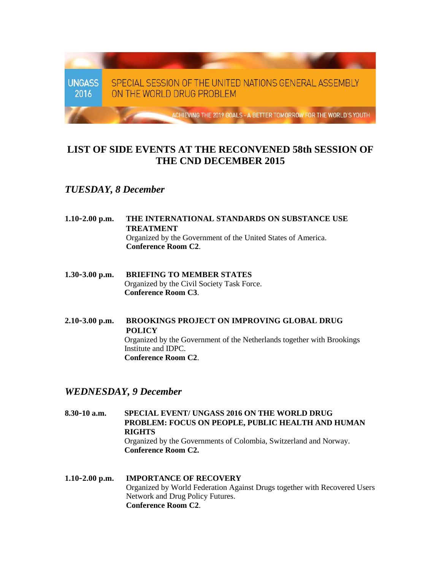

## **LIST OF SIDE EVENTS AT THE RECONVENED 58th SESSION OF THE CND DECEMBER 2015**

## *TUESDAY, 8 December*

- **1.10-2.00 p.m. THE INTERNATIONAL STANDARDS ON SUBSTANCE USE TREATMENT** Organized by the Government of the United States of America. **Conference Room C2**.
- **1.30-3.00 p.m. BRIEFING TO MEMBER STATES** Organized by the Civil Society Task Force. **Conference Room C3**.
- **2.10-3.00 p.m. BROOKINGS PROJECT ON IMPROVING GLOBAL DRUG POLICY** Organized by the Government of the Netherlands together with Brookings Institute and IDPC. **Conference Room C2**.

## *WEDNESDAY, 9 December*

**8.30-10 a.m. SPECIAL EVENT/ UNGASS 2016 ON THE WORLD DRUG PROBLEM: FOCUS ON PEOPLE, PUBLIC HEALTH AND HUMAN RIGHTS**  Organized by the Governments of Colombia, Switzerland and Norway. **Conference Room C2.**

**1.10-2.00 p.m. IMPORTANCE OF RECOVERY** Organized by World Federation Against Drugs together with Recovered Users Network and Drug Policy Futures. **Conference Room C2**.